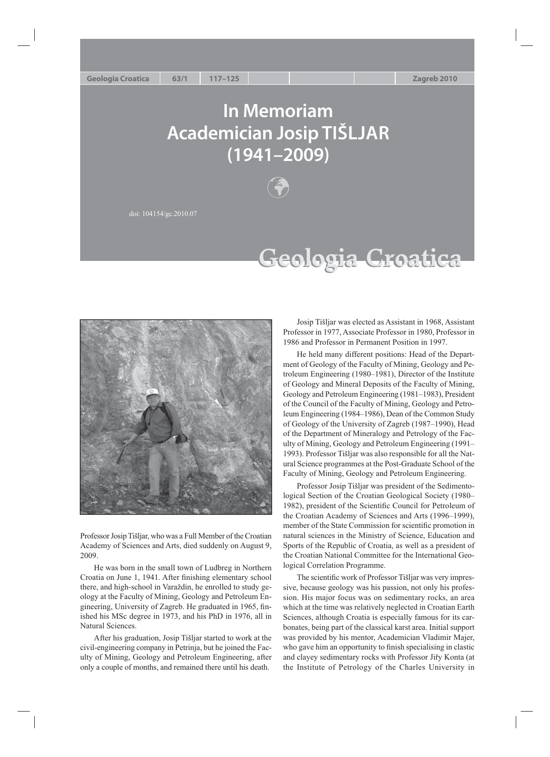# **In Memoriam Academician Josip TIŠLJAR (1941–2009)**



doi: 104154/gc.2010.07

# **Geologia Croatica Geologia Croatica**



Professor Josip Tišljar, who was a Full Member of the Croatian Academy of Sciences and Arts, died suddenly on August 9, 2009.

He was born in the small town of Ludbreg in Northern Croatia on June 1, 1941. After finishing elementary school there, and high-school in Varaždin, he enrolled to study geology at the Faculty of Mining, Geology and Petroleum Engineering, University of Zagreb. He graduated in 1965, finished his MSc degree in 1973, and his PhD in 1976, all in Natural Sciences.

After his graduation, Josip Tišljar started to work at the civil-engineering company in Petrinja, but he joined the Faculty of Mining, Geology and Petroleum Engineering, after only a couple of months, and remained there until his death.

Josip Tišljar was elected as Assistant in 1968, Assistant Professor in 1977, Associate Professor in 1980, Professor in 1986 and Professor in Permanent Position in 1997.

He held many different positions: Head of the Department of Geology of the Faculty of Mining, Geology and Petroleum Engineering (1980–1981), Director of the Institute of Geology and Mineral Deposits of the Faculty of Mining, Geology and Petroleum Engineering (1981–1983), President of the Council of the Faculty of Mining, Geology and Petroleum Engineering (1984–1986), Dean of the Common Study of Geology of the University of Zagreb (1987–1990), Head of the Department of Mineralogy and Petrology of the Faculty of Mining, Geology and Petroleum Engineering (1991– 1993). Professor Tišljar was also responsible for all the Natural Science programmes at the Post-Graduate School of the Faculty of Mining, Geology and Petroleum Engineering.

Professor Josip Tišljar was president of the Sedimentological Section of the Croatian Geological Society (1980– 1982), president of the Scientific Council for Petroleum of the Croatian Academy of Sciences and Arts (1996–1999), member of the State Commission for scientific promotion in natural sciences in the Ministry of Science, Education and Sports of the Republic of Croatia, as well as a president of the Croatian National Committee for the International Geological Correlation Programme.

The scientific work of Professor Tišljar was very impressive, because geology was his passion, not only his profession. His major focus was on sedimentary rocks, an area which at the time was relatively neglected in Croatian Earth Sciences, although Croatia is especially famous for its carbonates, being part of the classical karst area. Initial support was provided by his mentor, Academician Vladimir Majer, who gave him an opportunity to finish specialising in clastic and clayey sedimentary rocks with Professor Jiřy Konta (at the Institute of Petrology of the Charles University in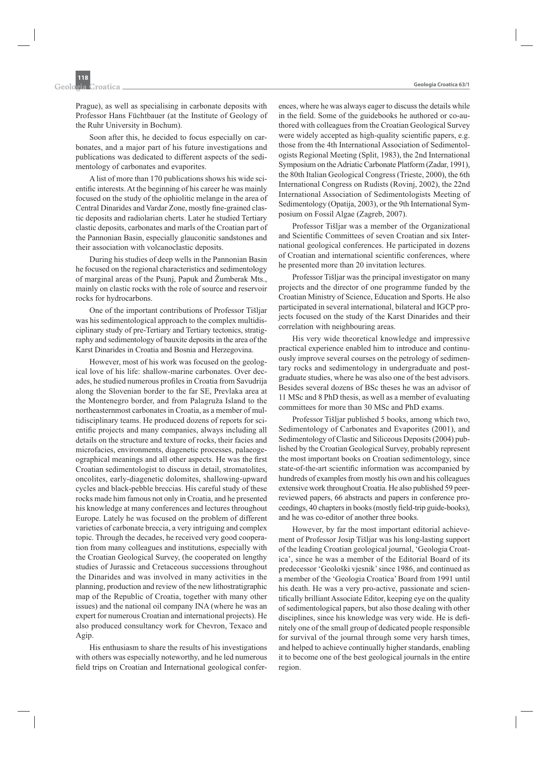Prague), as well as specialising in carbonate deposits with Professor Hans Füchtbauer (at the Institute of Geology of the Ruhr University in Bochum).

Soon after this, he decided to focus especially on carbonates, and a major part of his future investigations and publications was dedicated to different aspects of the sedimentology of carbonates and evaporites.

A list of more than 170 publications shows his wide scientific interests. At the beginning of his career he was mainly focused on the study of the ophiolitic melange in the area of Central Dinarides and Vardar Zone, mostly fine-grained clastic deposits and radiolarian cherts. Later he studied Tertiary clastic deposits, carbonates and marls of the Croatian part of the Pannonian Basin, especially glauconitic sandstones and their association with volcanoclastic deposits.

During his studies of deep wells in the Pannonian Basin he focused on the regional characteristics and sedimentology of marginal areas of the Psunj, Papuk and Žumberak Mts., mainly on clastic rocks with the role of source and reservoir rocks for hydrocarbons.

One of the important contributions of Professor Tišljar was his sedimentological approach to the complex multidisciplinary study of pre-Tertiary and Tertiary tectonics, stratigraphy and sedimentology of bauxite deposits in the area of the Karst Dinarides in Croatia and Bosnia and Herzegovina.

However, most of his work was focused on the geological love of his life: shallow-marine carbonates. Over decades, he studied numerous profiles in Croatia from Savudrija along the Slovenian border to the far SE, Prevlaka area at the Montenegro border, and from Palagruža Island to the northeasternmost carbonates in Croatia, as a member of multidisciplinary teams. He produced dozens of reports for scientific projects and many companies, always including all details on the structure and texture of rocks, their facies and microfacies, environments, diagenetic processes, palaeogeographical meanings and all other aspects. He was the first Croatian sedimentologist to discuss in detail, stromatolites, oncolites, early-diagenetic dolomites, shallowing-upward cycles and black-pebble breccias. His careful study of these rocks made him famous not only in Croatia, and he presented his knowledge at many conferences and lectures throughout Europe. Lately he was focused on the problem of different varieties of carbonate breccia, a very intriguing and complex topic. Through the decades, he received very good cooperation from many colleagues and institutions, especially with the Croatian Geological Survey, (he cooperated on lengthy studies of Jurassic and Cretaceous successions throughout the Dinarides and was involved in many activities in the planning, production and review of the new lithostratigraphic map of the Republic of Croatia, together with many other issues) and the national oil company INA (where he was an expert for numerous Croatian and international projects). He also produced consultancy work for Chevron, Texaco and Agip.

His enthusiasm to share the results of his investigations with others was especially noteworthy, and he led numerous field trips on Croatian and International geological conferences, where he was always eager to discuss the details while in the field. Some of the guidebooks he authored or co-authored with colleagues from the Croatian Geological Survey were widely accepted as high-quality scientific papers, e.g. those from the 4th International Association of Sedimentologists Regional Meeting (Split, 1983), the 2nd International Symposium on the Adriatic Carbonate Platform (Zadar, 1991), the 80th Italian Geological Congress (Trieste, 2000), the 6th International Congress on Rudists (Rovinj, 2002), the 22nd International Association of Sedimentologists Meeting of Sedimentology (Opatija, 2003), or the 9th International Symposium on Fossil Algae (Zagreb, 2007).

Professor Tišljar was a member of the Organizational and Scientific Committees of seven Croatian and six International geological conferences. He participated in dozens of Croatian and international scientific conferences, where he presented more than 20 invitation lectures.

Professor Tišljar was the principal investigator on many projects and the director of one programme funded by the Croatian Ministry of Science, Education and Sports. He also participated in several international, bilateral and IGCP projects focused on the study of the Karst Dinarides and their correlation with neighbouring areas.

His very wide theoretical knowledge and impressive practical experience enabled him to introduce and continuously improve several courses on the petrology of sedimentary rocks and sedimentology in undergraduate and postgraduate studies, where he was also one of the best advisors. Besides several dozens of BSc theses he was an advisor of 11 MSc and 8 PhD thesis, as well as a member of evaluating committees for more than 30 MSc and PhD exams.

Professor Tišljar published 5 books, among which two, Sedimentology of Carbonates and Evaporites (2001), and Sedimentology of Clastic and Siliceous Deposits (2004) published by the Croatian Geological Survey, probably represent the most important books on Croatian sedimentology, since state-of-the-art scientific information was accompanied by hundreds of examples from mostly his own and his colleagues extensive work throughout Croatia. He also published 59 peerreviewed papers, 66 abstracts and papers in conference proceedings, 40 chapters in books (mostly field-trip guide-books), and he was co-editor of another three books.

However, by far the most important editorial achievement of Professor Josip Tišljar was his long-lasting support of the leading Croatian geological journal, 'Geologia Croatica', since he was a member of the Editorial Board of its predecessor 'Geološki vjesnik' since 1986, and continued as a member of the 'Geologia Croatica' Board from 1991 until his death. He was a very pro-active, passionate and scientifically brilliant Associate Editor, keeping eye on the quality of sedimentological papers, but also those dealing with other disciplines, since his knowledge was very wide. He is definitely one of the small group of dedicated people responsible for survival of the journal through some very harsh times, and helped to achieve continually higher standards, enabling it to become one of the best geological journals in the entire region.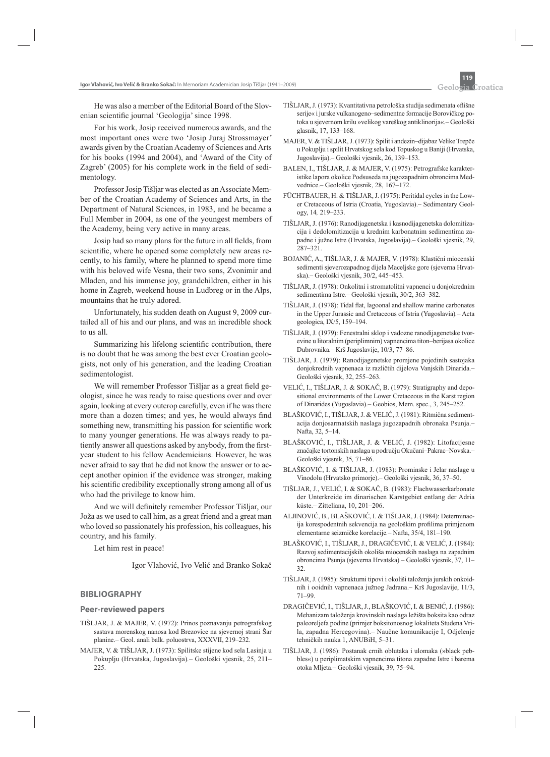He was also a member of the Editorial Board of the Slovenian scientific journal 'Geologija' since 1998.

For his work, Josip received numerous awards, and the most important ones were two 'Josip Juraj Strossmayer' awards given by the Croatian Academy of Sciences and Arts for his books (1994 and 2004), and 'Award of the City of Zagreb' (2005) for his complete work in the field of sedimentology.

Professor Josip Tišljar was elected as an Associate Member of the Croatian Academy of Sciences and Arts, in the Department of Natural Sciences, in 1983, and he became a Full Member in 2004, as one of the youngest members of the Academy, being very active in many areas.

Josip had so many plans for the future in all fields, from scientific, where he opened some completely new areas recently, to his family, where he planned to spend more time with his beloved wife Vesna, their two sons, Zvonimir and Mladen, and his immense joy, grandchildren, either in his home in Zagreb, weekend house in Ludbreg or in the Alps, mountains that he truly adored.

Unfortunately, his sudden death on August 9, 2009 curtailed all of his and our plans, and was an incredible shock to us all.

Summarizing his lifelong scientific contribution, there is no doubt that he was among the best ever Croatian geologists, not only of his generation, and the leading Croatian sedimentologist.

We will remember Professor Tišljar as a great field geologist, since he was ready to raise questions over and over again, looking at every outcrop carefully, even if he was there more than a dozen times; and yes, he would always find something new, transmitting his passion for scientific work to many younger generations. He was always ready to patiently answer all questions asked by anybody, from the firstyear student to his fellow Academicians. However, he was never afraid to say that he did not know the answer or to accept another opinion if the evidence was stronger, making his scientific credibility exceptionally strong among all of us who had the privilege to know him.

And we will definitely remember Professor Tišljar, our Joža as we used to call him, as a great friend and a great man who loved so passionately his profession, his colleagues, his country, and his family.

Let him rest in peace!

Igor Vlahović, Ivo Velić and Branko Sokač

## **BIBLIOGRAPHY**

#### **Peer-reviewed papers**

- TIŠLJAR, J. & MAJER, V. (1972): Prinos poznavanju petrografskog sastava morenskog nanosa kod Brezovice na sjevernoj strani Šar planine.– Geol. anali balk. poluostrva, XXXVII, 219–232.
- MAJER, V. & TIŠLJAR, J. (1973): Spilitske stijene kod sela Lasinja u Pokuplju (Hrvatska, Jugoslavija)*.–* Geološki vjesnik, 25, 211– 225.
- TIŠLJAR, J. (1973): Kvantitativna petrološka studija sedimenata »flišne serije« i jurske vulkanogeno–sedimentne formacije Borovičkog potoka u sjevernom krilu »velikog vareškog antiklinorija«*.–* Geološki glasnik, 17, 133–168.
- MAJER, V. & TIŠLJAR, J. (1973): Spilit i andezin–dijabaz Velike Trepče u Pokuplju i spilit Hrvatskog sela kod Topuskog u Baniji (Hrvatska, Jugoslavija).– Geološki vjesnik, 26, 139–153.
- BALEN, I., TIŠLJAR, J. & MAJER, V. (1975): Petrografske karakteristike lapora okolice Podsuseda na jugozapadnim obroncima Medvednice.– Geološki vjesnik, 28, 167–172.
- FÜCHTBAUER, H. & TIŠLJAR, J. (1975): Peritidal cycles in the Lower Cretaceous of Istria (Croatia, Yugoslavia).– Sedimentary Geology, 14*,* 219–233.
- TIŠLJAR, J. (1976): Ranodijagenetska i kasnodijagenetska dolomitizacija i dedolomitizacija u krednim karbonatnim sedimentima zapadne i južne Istre (Hrvatska, Jugoslavija).– Geološki vjesnik, 29, 287–321.
- BOJANIĆ, A., TIŠLJAR, J. & MAJER, V. (1978): Klastični miocenski sedimenti sjeverozapadnog dijela Maceljske gore (sjeverna Hrvatska).– Geološki vjesnik, 30/2, 445–453.
- TIŠLJAR, J. (1978): Onkolitni i stromatolitni vapnenci u donjokrednim sedimentima Istre*.*– Geološki vjesnik, 30/2, 363–382.
- TIŠLJAR, J. (1978): Tidal flat, lagoonal and shallow marine carbonates in the Upper Jurassic and Cretaceous of Istria (Yugoslavia)*.–* Acta geologica, IX/5, 159–194.
- TIŠLJAR, J. (1979): Fenestralni sklop i vadozne ranodijagenetske tvorevine u litoralnim (periplimnim) vapnencima titon–berijasa okolice Dubrovnika.*–* Krš Jugoslavije, 10/3, 77–86.
- TIŠLJAR, J. (1979): Ranodijagenetske promjene pojedinih sastojaka donjokrednih vapnenaca iz različtih dijelova Vanjskih Dinarida.– Geološki vjesnik, 32, 255–263.
- VELIĆ, I., TIŠLJAR, J. & SOKAČ, B. (1979): Stratigraphy and depositional environments of the Lower Cretaceous in the Karst region of Dinarides (Yugoslavia).– Geobios, Mem. spec., 3, 245–252.
- BLAŠKOVIĆ, I., TIŠLJAR, J. & VELIĆ, J. (1981): Ritmična sedimentacija donjosarmatskih naslaga jugozapadnih obronaka Psunja.*–*  Nafta, 32, 5–14.
- BLAŠKOVIĆ, I., TIŠLJAR, J. & VELIĆ, J. (1982): Litofacijesne značajke tortonskih naslaga u području Okučani–Pakrac–Novska.– Geološki vjesnik, 35*,* 71–86.
- BLAŠKOVIĆ, I. & TIŠLJAR, J. (1983): Prominske i Jelar naslage u Vinodolu (Hrvatsko primorje).– Geološki vjesnik, 36, 37–50.
- TIŠLJAR, J., VELIĆ, I. & SOKAČ, B. (1983): Flachwasserkarbonate der Unterkreide im dinarischen Karstgebiet entlang der Adria küste.*–* Zitteliana, 10, 201–206.
- ALJINOVIĆ, B., BLAŠKOVIĆ, I. & TIŠLJAR, J. (1984): Determinacija korespodentnih sekvencija na geološkim profilima primjenom elementarne seizmičke korelacije*.–* Nafta, 35/4, 181–190.
- BLAŠKOVIĆ, I., TIŠLJAR, J., DRAGIČEVIĆ, I. & VELIĆ, J. (1984): Razvoj sedimentacijskih okoliša miocenskih naslaga na zapadnim obroncima Psunja (sjeverna Hrvatska)*.–* Geološki vjesnik, 37, 11– 32.
- TIŠLJAR, J. (1985): Strukturni tipovi i okoliši taloženja jurskih onkoidnih i ooidnih vapnenaca južnog Jadrana.– Krš Jugoslavije, 11/3, 71–99.
- DRAGIČEVIĆ, I., TIŠLJAR, J., BLAŠKOVIĆ, I. & BENIĆ, J. (1986): Mehanizam taloženja krovinskih naslaga ležišta boksita kao odraz paleoreljefa podine (primjer boksitonosnog lokaliteta Studena Vrila, zapadna Hercegovina).– Naučne komunikacije I, Odjelenje tehničkih nauka 1, ANUBiH, 5–31.
- TIŠLJAR, J. (1986): Postanak crnih oblutaka i ulomaka (»black pebbles«) u periplimatskim vapnencima titona zapadne Istre i barema otoka Mljeta.– Geološki vjesnik, 39, 75–94.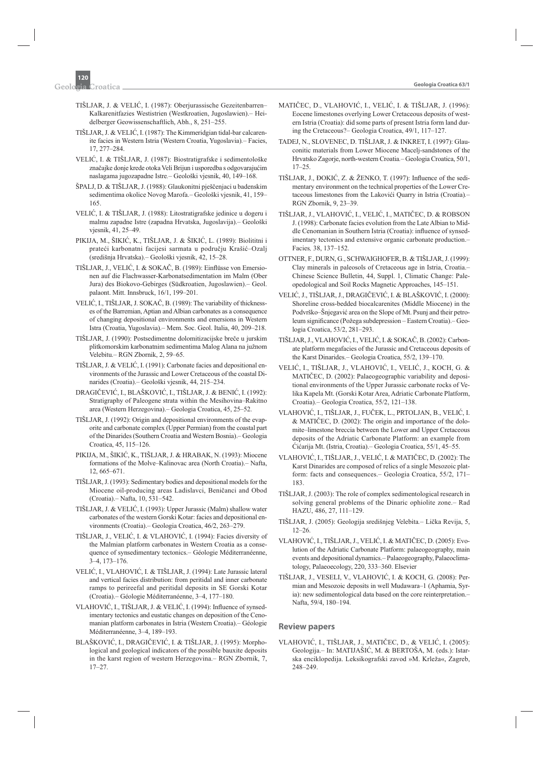- TIŠLJAR, J. & VELIĆ, I. (1987): Oberjurassische Gezeitenbarren– Kalkarenitfazies Westistrien (Westkroatien, Jugoslawien).– Heidelberger Geowissenschaftlich, Abh., 8, 251–255.
- TIŠLJAR, J. & VELIĆ, I. (1987): The Kimmeridgian tidal-bar calcarenite facies in Western Istria (Western Croatia, Yugoslavia)*.*– Facies, 17, 277–284.
- VELIĆ, I. & TIŠLJAR, J. (1987): Biostratigrafske i sedimentološke značajke donje krede otoka Veli Brijun i usporedba s odgovarajućim naslagama jugozapadne Istre*.–* Geološki vjesnik, 40, 149–168.
- ŠPALJ, D. & TIŠLJAR, J. (1988): Glaukonitni pješčenjaci u badenskim sedimentima okolice Novog Marofa.– Geološki vjesnik, 41, 159– 165.
- VELIĆ, I. & TIŠLJAR, J. (1988): Litostratigrafske jedinice u dogeru i malmu zapadne Istre (zapadna Hrvatska, Jugoslavija).– Geološki vjesnik, 41, 25–49.
- PIKIJA, M., ŠIKIĆ, K., TIŠLJAR, J. & ŠIKIĆ, L. (1989): Biolititni i prateći karbonatni facijesi sarmata u području Krašić–Ozalj (središnja Hrvatska).– Geološki vjesnik, 42, 15–28.
- TIŠLJAR, J., VELIĆ, I. & SOKAČ, B. (1989): Einflüsse von Emersionen auf die Flachwasser-Karbonatsedimentation im Malm (Ober Jura) des Biokovo-Gebirges (Südkroatien, Jugoslawien).– Geol. palaont. Mitt. Innsbruck, 16/1, 199–201.
- VELIĆ, I., TIŠLJAR, J. SOKAČ, B. (1989): The variability of thicknesses of the Barremian, Aptian and Albian carbonates as a consequence of changing depositional environments and emersions in Western Istra (Croatia, Yugoslavia).– Mem. Soc. Geol. Italia, 40, 209–218.
- TIŠLJAR, J. (1990): Postsedimentne dolomitizacijske breče u jurskim plitkomorskim karbonatnim sedimentima Malog Alana na južnom Velebitu.– RGN Zbornik, 2, 59–65.
- TIŠLJAR, J. & VELIĆ, I. (1991): Carbonate facies and depositional environments of the Jurassic and Lower Cretaceous of the coastal Dinarides (Croatia).– Geološki vjesnik, 44, 215–234.
- DRAGIČEVIĆ, I., BLAŠKOVIĆ, I., TIŠLJAR, J. & BENIĆ, I. (1992): Stratigraphy of Paleogene strata within the Mesihovina–Rakitno area (Western Herzegovina).– Geologia Croatica, 45, 25–52.
- TIŠLJAR, J. (1992): Origin and depositional environments of the evaporite and carbonate complex (Upper Permian) from the coastal part of the Dinarides (Southern Croatia and Western Bosnia).– Geologia Croatica, 45, 115–126.
- PIKIJA, M., ŠIKIĆ, K., TIŠLJAR, J. & HRABAK, N. (1993): Miocene formations of the Molve–Kalinovac area (North Croatia).– Nafta, 12, 665–671.
- TIŠLJAR, J. (1993): Sedimentary bodies and depositional models for the Miocene oil-producing areas Ladislavci, Beničanci and Obod (Croatia).*–* Nafta, 10, 531–542.
- TIŠLJAR, J. & VELIĆ, I. (1993): Upper Jurassic (Malm) shallow water carbonates of the western Gorski Kotar: facies and depositional environments (Croatia).– Geologia Croatica, 46/2, 263–279.
- TIŠLJAR, J., VELIĆ, I. & VLAHOVIĆ, I. (1994): Facies diversity of the Malmian platform carbonates in Western Croatia as a consequence of synsedimentary tectonics.– Géologie Méditerranéenne, 3–4, 173–176.
- VELIĆ, I., VLAHOVIĆ, I. & TIŠLJAR, J. (1994): Late Jurassic lateral and vertical facies distribution: from peritidal and inner carbonate ramps to perireefal and peritidal deposits in SE Gorski Kotar (Croatia).– Géologie Méditerranéenne, 3–4, 177–180.
- VLAHOVIĆ, I., TIŠLJAR, J. & VELIĆ, I. (1994): Influence of synsedimentary tectonics and eustatic changes on deposition of the Cenomanian platform carbonates in Istria (Western Croatia).– Géologie Méditerranéenne, 3–4, 189–193.
- BLAŠKOVIĆ, I., DRAGIČEVIĆ, I. & TIŠLJAR, J. (1995): Morphological and geological indicators of the possible bauxite deposits in the karst region of western Herzegovina.– RGN Zbornik, 7, 17–27.
- MATIČEC, D., VLAHOVIĆ, I., VELIĆ, I. & TIŠLJAR, J. (1996): Eocene limestones overlying Lower Cretaceous deposits of western Istria (Croatia): did some parts of present Istria form land during the Cretaceous?– Geologia Croatica, 49/1, 117–127.
- TADEJ, N., SLOVENEC, D. TIŠLJAR, J. & INKRET, I. (1997): Glauconitic materials from Lower Miocene Macelj-sandstones of the Hrvatsko Zagorje, north-western Croatia*.–* Geologia Croatica, 50/1, 17–25.
- TIŠLJAR, J., ĐOKIĆ, Z. & ŽENKO, T.  $(1997)$ : Influence of the sedimentary environment on the technical properties of the Lower Cretaceous limestones from the Lakovići Quarry in Istria (Croatia)*.–* RGN Zbornik, 9, 23–39.
- TIŠLJAR, J., VLAHOVIĆ, I., VELIĆ, I., MATIČEC, D. & ROBSON J. (1998): Carbonate facies evolution from the Late Albian to Middle Cenomanian in Southern Istria (Croatia): influence of synsedimentary tectonics and extensive organic carbonate production.– Facies*,* 38, 137–152.
- OTTNER, F., DURN, G., SCHWAIGHOFER, B. & TIŠLJAR, J. (1999): Clay minerals in paleosols of Cretaceous age in Istria, Croatia.– Chinese Science Bulletin, 44, Suppl. 1, Climatic Change: Paleopedological and Soil Rocks Magnetic Approaches, 145–151.
- VELIĆ, J., TIŠLJAR, J., DRAGIČEVIĆ, I. & BLAŠKOVIĆ, I. (2000): Shoreline cross-bedded biocalcarenites (Middle Miocene) in the Podvrško–Šnjegavić area on the Slope of Mt. Psunj and their petroleum significance (Požega subdepression – Eastern Croatia). – Geologia Croatica, 53/2, 281–293.
- TIŠLJAR, J., VLAHOVIĆ, I., VELIĆ, I. & SOKAČ, B. (2002): Carbonate platform megafacies of the Jurassic and Cretaceous deposits of the Karst Dinarides.– Geologia Croatica, 55/2, 139–170.
- VELIĆ, I., TIŠLJAR, J., VLAHOVIĆ, I., VELIĆ, J., KOCH, G. & MATIČEC, D. (2002): Palaeogeographic variability and depositional environments of the Upper Jurassic carbonate rocks of Velika Kapela Mt. (Gorski Kotar Area, Adriatic Carbonate Platform, Croatia).*–* Geologia Croatica, 55/2, 121–138.
- VLAHOVIĆ, I., TIŠLJAR, J., FUČEK, L., PRTOLJAN, B., VELIĆ, I. & MATIČEC, D. (2002): The origin and importance of the dolomite–limestone breccia between the Lower and Upper Cretaceous deposits of the Adriatic Carbonate Platform: an example from Ćićarija Mt. (Istria, Croatia).– Geologia Croatica, 55/1, 45–55.
- VLAHOVIĆ, I., TIŠLJAR, J., VELIĆ, I. & MATIČEC, D. (2002): The Karst Dinarides are composed of relics of a single Mesozoic platform: facts and consequences.– Geologia Croatica, 55/2, 171– 183.
- TIŠLJAR, J. (2003): The role of complex sedimentological research in solving general problems of the Dinaric ophiolite zone.*–* Rad HAZU, 486, 27, 111–129.
- TIŠLJAR, J. (2005): Geologija središnjeg Velebita*.–* Lička Revija, 5, 12–26.
- VLAHOVIĆ, I., TIŠLJAR, J., VELIĆ, I. & MATIČEC, D. (2005): Evolution of the Adriatic Carbonate Platform: palaeogeography, main events and depositional dynamics.– Palaeogeography, Palaeoclimatology, Palaeoecology, 220, 333–360. Elsevier
- TIŠLJAR, J., VESELI, V., VLAHOVIĆ, I. & KOCH, G. (2008): Permian and Mesozoic deposits in well Mudawara–1 (Aphamia, Syria): new sedimentological data based on the core reinterpretation.– Nafta, 59/4, 180–194.

# **Review papers**

VLAHOVIĆ, I., TIŠLJAR, J., MATIČEC, D., & VELIĆ, I. (2005): Geologija.*–* In: MATIJAŠIĆ, M. & BERTOŠA, M. (eds.): Istarska enciklopedija. Leksikografski zavod »M. Krleža«, Zagreb, 248–249.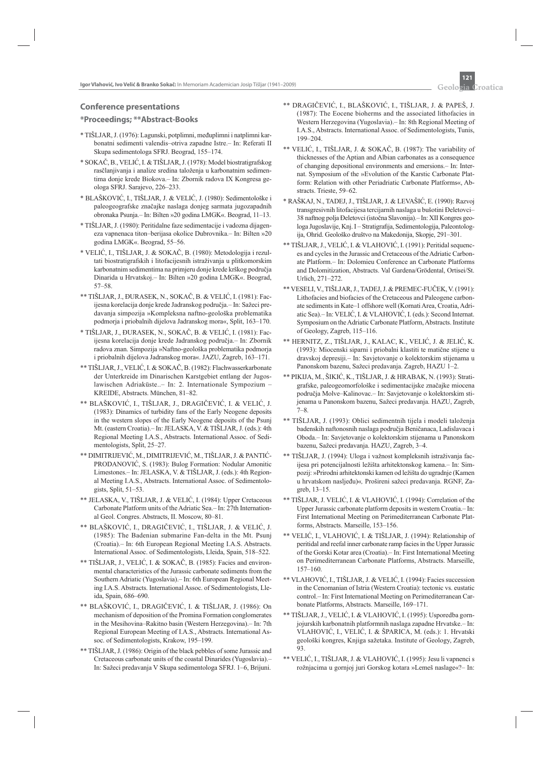# **\*Proceedings; \*\*Abstract-Books**

- \* TIŠLJAR, J. (1976): Lagunski, potplimni, međuplimni i natplimni karbonatni sedimenti valendis–otriva zapadne Istre.*–* In: Referati II Skupa sedimentologa SFRJ. Beograd, 155–174.
- \* SOKAČ, B., VELIĆ, I. & TIŠLJAR, J. (1978): Model biostratigrafskog rasčlanjivanja i analize sredina taloženja u karbonatnim sedimentima donje krede Biokova.– In: Zbornik radova IX Kongresa geologa SFRJ. Sarajevo, 226–233.
- \* BLAŠKOVIĆ, I., TIŠLJAR, J. & VELIĆ, J. (1980): Sedimentološke i paleogeografske značajke naslaga donjeg sarmata jugozapadnih obronaka Psunja.– In: Bilten »20 godina LMGK«. Beograd, 11–13.
- \* TIŠLJAR, J. (1980): Peritidalne faze sedimentacije i vadozna dijageneza vapnenaca titon–berijasa okolice Dubrovnika.– In: Bilten »20 godina LMGK«. Beograd, 55–56.
- \* VELIĆ, I., TIŠLJAR, J. & SOKAČ, B. (1980): Metodologija i rezultati biostratigrafskih i litofacijesnih istraživanja u plitkomorskim karbonatnim sedimentima na primjeru donje krede krškog područja Dinarida u Hrvatskoj.– In: Bilten »20 godina LMGK«. Beograd, 57–58.
- \*\* TIŠLJAR, J., ĐURASEK, N., SOKAČ, B. & VELIĆ, I. (1981): Facijesna korelacija donje krede Jadranskog područja.– In: Sažeci predavanja simpozija »Kompleksna naftno-geološka problematika podmorja i priobalnih dijelova Jadranskog mora«, Split, 163–170.
- \* TIŠLJAR, J., ĐURASEK, N., SOKAČ, B. & VELIĆ, I. (1981): Facijesna korelacija donje krede Jadranskog područja.– In: Zbornik radova znan. Simpozija »Naftno-geološka problematika podmorja i priobalnih dijelova Jadranskog mora«. JAZU, Zagreb, 163–171.
- \*\* TIŠLJAR, J., VELIĆ, I. & SOKAČ, B. (1982): Flachwasserkarbonate der Unterkreide im Dinarischen Karstgebiet entlang der Jugoslawischen Adriaküste..– In: 2. Internationale Sympozium – KREIDE, Abstracts. München, 81–82.
- \*\* BLAŠKOVIĆ, I., TIŠLJAR, J., DRAGIČEVIĆ, I. & VELIĆ, J. (1983): Dinamics of turbidity fans of the Early Neogene deposits in the western slopes of the Early Neogene deposits of the Psunj Mt. (eastern Croatia).– In: JELASKA, V. & TIŠLJAR, J. (eds.): 4th Regional Meeting I.A.S., Abstracts. International Assoc. of Sedimentologists, Split, 25–27.
- \*\* DIMITRIJEVIĆ, M., DIMITRIJEVIĆ, M., TIŠLJAR, J. & PANTIĆ-PRODANOVIĆ, S. (1983): Bulog Formation: Nodular Amonitic Limestones.– In: JELASKA, V. & TIŠLJAR, J. (eds.): 4th Regional Meeting I.A.S., Abstracts. International Assoc. of Sedimentologists, Split, 51–53.
- \*\* JELASKA, V., TIŠLJAR, J. & VELIĆ, I. (1984): Upper Cretaceous Carbonate Platform units of the Adriatic Sea.– In: 27th International Geol. Congres. Abstracts, II. Moscow, 80–81.
- \*\* BLAŠKOVIĆ, I., DRAGIČEVIĆ, I., TIŠLJAR, J. & VELIĆ, J. (1985): The Badenian submarine Fan-delta in the Mt. Psunj (Croatia).– In: 6th European Regional Meeting I.A.S. Abstracts. International Assoc. of Sedimentologists, Lleida, Spain, 518–522.
- \*\* TIŠLJAR, J., VELIĆ, I. & SOKAČ, B. (1985): Facies and environmental characteristics of the Jurassic carbonate sediments from the Southern Adriatic (Yugoslavia).– In: 6th European Regional Meeting I.A.S. Abstracts. International Assoc. of Sedimentologists, Lleida, Spain, 686–690.
- \*\* BLAŠKOVIĆ, I., DRAGIČEVIĆ, I. & TIŠLJAR, J. (1986): On mechanism of deposition of the Promina Formation conglomerates in the Mesihovina–Rakitno basin (Western Herzegovina).– In: 7th Regional European Meeting of I.A.S., Abstracts. International Assoc. of Sedimentologists, Krakow, 195–199.
- \*\* TIŠLJAR, J. (1986): Origin of the black pebbles of some Jurassic and Cretaceous carbonate units of the coastal Dinarides (Yugoslavia).– In: Sažeci predavanja V Skupa sedimentologa SFRJ. 1–6, Brijuni.
- \*\* DRAGIČEVIĆ, I., BLAŠKOVIĆ, I., TIŠLJAR, J. & PAPEŠ, J. (1987): The Eocene bioherms and the associated lithofacies in Western Herzegovina (Yugoslavia).– In: 8th Regional Meeting of I.A.S., Abstracts. International Assoc. of Sedimentologists, Tunis, 199–204.
- \*\* VELIĆ, I., TIŠLJAR, J. & SOKAČ, B. (1987): The variability of thicknesses of the Aptian and Albian carbonates as a consequence of changing depositional environments and emersions.– In: Internat. Symposium of the »Evolution of the Karstic Carbonate Platform: Relation with other Periadriatic Carbonate Platforms«, Abstracts. Trieste, 59–62.
- \* RAŠKAJ, N., TADEJ, J., TIŠLJAR, J. & LEVAŠIĆ, E. (1990): Razvoj transgresivnih litofacijesa tercijarnih naslaga u bušotini Đeletovci– 38 naftnog polja Đeletovci (istočna Slavonija).– In: XII Kongres geologa Jugoslavije, Knj. I - Stratigrafija, Sedimentologija, Paleontologija, Ohrid. Geološko društvo na Makedonija, Skopje, 291–301.
- \*\* TIŠLJAR, J., VELIĆ, I. & VLAHOVIĆ, I. (1991): Peritidal sequences and cycles in the Jurassic and Cretaceous of the Adriatic Carbonate Platform.– In: Dolomieu Conference an Carbonate Platforms and Dolomitization, Abstracts. Val Gardena/Grödental, Ortisei/St. Urlich, 271–272.
- \*\* VESELI, V., TIŠLJAR, J., TADEJ, J. & PREMEC-FUČEK, V. (1991): Lithofacies and biofacies of the Cretaceous and Paleogene carbonate sediments in Kate–1 offshore well (Kornati Area, Croatia, Adriatic Sea).– In: VELIĆ, I. & VLAHOVIĆ, I. (eds.): Second Internat. Symposium on the Adriatic Carbonate Platform, Abstracts. Institute of Geology, Zagreb, 115–116.
- \*\* HERNITZ, Z., TIŠLJAR, J., KALAC, K., VELIĆ, J. & JELIĆ, K. (1993): Miocenski siparni i priobalni klastiti te matične stijene u dravskoj depresiji.– In: Savjetovanje o kolektorskim stijenama u Panonskom bazenu, Sažeci predavanja. Zagreb, HAZU 1–2.
- \*\* PIKIJA, M., ŠIKIĆ, K., TIŠLJAR, J. & HRABAK, N. (1993): Stratigrafske, paleogeomorfološke i sedimentacijske značajke miocena područja Molve–Kalinovac.– In: Savjetovanje o kolektorskim stijenama u Panonskom bazenu, Sažeci predavanja. HAZU, Zagreb, 7–8.
- \*\* TIŠLJAR, J. (1993): Oblici sedimentnih tijela i modeli taloženja badenskih naftonosnih naslaga područja Beničanaca, Ladislavaca i Oboda.– In: Savjetovanje o kolektorskim stijenama u Panonskom bazenu, Sažeci predavanja. HAZU, Zagreb, 3–4.
- \*\* TIŠLJAR, J. (1994): Uloga i važnost kompleksnih istraživanja facijesa pri potencijalnosti ležišta arhitektonskog kamena.*–* In: Simpozij: »Prirodni arhitektonski kamen od ležišta do ugradnje (Kamen u hrvatskom nasljeđu)«*,* Prošireni sažeci predavanja. RGNF, Zagreb, 13–15.
- \*\* TIŠLJAR, J. VELIĆ, I. & VLAHOVIĆ, I. (1994): Correlation of the Upper Jurassic carbonate platform deposits in western Croatia.– In: First International Meeting on Perimediterranean Carbonate Platforms, Abstracts. Marseille, 153–156.
- \*\* VELIĆ, I., VLAHOVIĆ, I. & TIŠLJAR, J. (1994): Relationship of peritidal and reefal inner carbonate ramp facies in the Upper Jurassic of the Gorski Kotar area (Croatia).– In: First International Meeting on Perimediterranean Carbonate Platforms, Abstracts. Marseille, 157–160.
- \*\* VLAHOVIĆ, I., TIŠLJAR, J. & VELIĆ, I. (1994): Facies succession in the Cenomanian of Istria (Western Croatia): tectonic vs. eustatic control.– In: First International Meeting on Perimediterranean Carbonate Platforms, Abstracts. Marseille, 169–171.
- \*\* TIŠLJAR, J., VELIĆ, I. & VLAHOVIĆ, I. (1995): Usporedba gornjojurskih karbonatnih platformnih naslaga zapadne Hrvatske.– In: VLAHOVIĆ, I., VELIĆ, I. & ŠPARICA, M. (eds.): 1. Hrvatski geološki kongres, Knjiga sažetaka. Institute of Geology, Zagreb, 93.
- \*\* VELIĆ, I., TIŠLJAR, J. & VLAHOVIĆ, I. (1995): Jesu li vapnenci s rožnjacima u gornjoj juri Gorskog kotara »Lemeš naslage«?– In: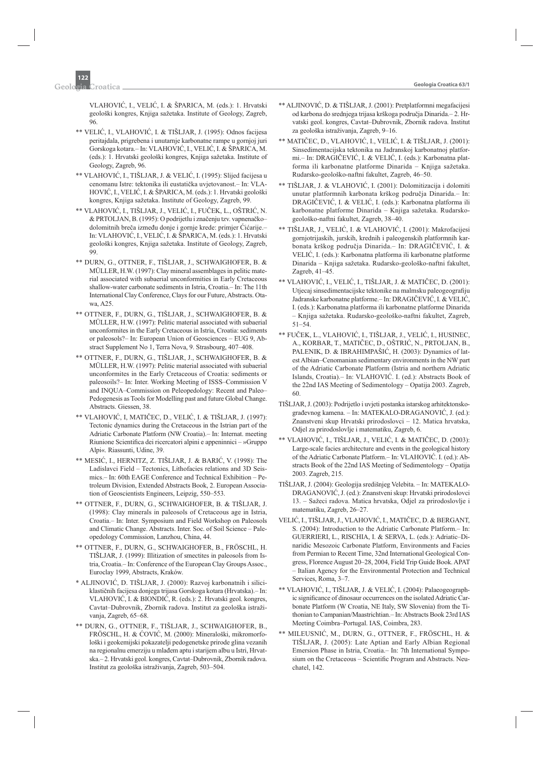VLAHOVIĆ, I., VELIĆ, I. & ŠPARICA, M. (eds.): 1. Hrvatski geološki kongres, Knjiga sažetaka. Institute of Geology, Zagreb, 96.

- \*\* VELIĆ, I., VLAHOVIĆ, I. & TIŠLJAR, J. (1995): Odnos facijesa peritajdala, prigrebena i unutarnje karbonatne rampe u gornjoj juri Gorskoga kotara.– In: VLAHOVIĆ, I., VELIĆ, I. & ŠPARICA, M. (eds.): 1. Hrvatski geološki kongres, Knjiga sažetaka. Institute of Geology, Zagreb, 96.
- \*\* VLAHOVIĆ, I., TIŠLJAR, J. & VELIĆ, I. (1995): Slijed facijesa u cenomanu Istre: tektonika ili eustatička uvjetovanost.– In: VLA-HOVIĆ, I., VELIĆ, I. & ŠPARICA, M. (eds.): 1. Hrvatski geološki kongres, Knjiga sažetaka. Institute of Geology, Zagreb, 99.
- \*\* VLAHOVIĆ, I., TIŠLJAR, J., VELIĆ, I., FUČEK, L., OŠTRIĆ, N. & PRTOLJAN, B. (1995): O podrijetlu i značenju tzv. vapnenačko– dolomitnih breča između donje i gornje krede: primjer Ćićarije.– In: VLAHOVIĆ, I., VELIĆ, I. & ŠPARICA, M. (eds.): 1. Hrvatski geološki kongres, Knjiga sažetaka. Institute of Geology, Zagreb, 99.
- \*\* DURN, G., OTTNER, F., TIŠLJAR, J., SCHWAIGHOFER, B. & MÜLLER, H.W. (1997): Clay mineral assemblages in pelitic material associated with subaerial unconformities in Early Cretaceous shallow-water carbonate sediments in Istria, Croatia.– In: The 11th International Clay Conference, Clays for our Future, Abstracts. Otawa, A25.
- \*\* OTTNER, F., DURN, G., TIŠLJAR, J., SCHWAIGHOFER, B. & MÜLLER, H.W. (1997): Pelitic material associated with subaerial unconformites in the Early Cretaceous in Istria, Croatia: sediments or paleosols?– In: European Union of Geosciences – EUG 9, Abstract Supplement No 1, Terra Nova, 9. Strasbourg, 407–408.
- \*\* OTTNER, F., DURN, G., TIŠLJAR, J., SCHWAIGHOFER, B. & MÜLLER, H.W. (1997): Pelitic material associated with subaerial unconformites in the Early Cretaceous of Croatia: sediments or paleosoils?– In: Inter. Working Meeting of ISSS–Commission V and INQUA–Commission on Peleopedology: Recent and Paleo– Pedogenesis as Tools for Modelling past and future Global Change. Abstracts. Giessen, 38.
- \*\* VLAHOVIĆ, I, MATIČEC, D., VELIĆ, I. & TIŠLJAR, J. (1997): Tectonic dynamics during the Cretaceous in the Istrian part of the Adriatic Carbonate Platform (NW Croatia).– In: Internat. meeting Riunione Scientifica dei ricercatori alpini e appeninnici – »Gruppo Alpi«. Riassunti, Udine, 39.
- \*\* MESIĆ, I., HERNITZ, Z. TIŠLJAR, J. & BARIĆ, V. (1998): The Ladislavci Field – Tectonics, Lithofacies relations and 3D Seismics.– In: 60th EAGE Conference and Technical Exhibition – Petroleum Division, Extended Abstracts Book, 2. European Association of Geoscientists Engineers, Leipzig, 550–553.
- \*\* OTTNER, F., DURN, G., SCHWAIGHOFER, B. & TIŠLJAR, J. (1998): Clay minerals in paleosols of Cretaceous age in Istria, Croatia.– In: Inter. Symposium and Field Workshop on Paleosols and Climatic Change. Abstracts. Inter. Soc. of Soil Science – Paleopedology Commission, Lanzhou, China, 44.
- \*\* OTTNER, F., DURN, G., SCHWAIGHOFER, B., FRÖSCHL, H. TIŠLJAR, J. (1999): Illitization of smectites in paleosols from Istria, Croatia.– In: Conference of the European Clay Groups Assoc., Euroclay 1999, Abstracts, Kraków.
- \* ALJINOVIĆ, D. TIŠLJAR, J. (2000): Razvoj karbonatnih i sili ciklastičnih facijesa donjega trijasa Gorskoga kotara (Hrvatska).– In: VLAHOVIĆ, I. & BIONDIĆ, R. (eds.): 2. Hrvatski geol. kongres, Cavtat–Dubrovnik, Zbornik radova. Institut za geološka istraživanja, Zagreb, 65–68.
- \*\* DURN, G., OTTNER, F., TIŠLJAR, J., SCHWAIGHOFER, B., FRÖSCHL, H. & ĆOVIĆ, M. (2000): Mineraloški, mikromorfološki i geokemijski pokazatelji pedogenetske prirode glina vezanih na regionalnu emerziju u mlađem aptu i starijem albu u Istri, Hrvatska.– 2. Hrvatski geol. kongres, Cavtat–Dubrovnik, Zbornik radova. Institut za geološka istraživanja, Zagreb, 503–504.
- \*\* ALJINOVIĆ, D. & TIŠLJAR, J. (2001): Pretplatformni megafacijesi od karbona do srednjega trijasa krškoga područja Dinarida.– 2. Hrvatski geol. kongres, Cavtat–Dubrovnik, Zbornik radova. Institut za geološka istraživanja, Zagreb, 9–16.
- \*\* MATIČEC, D., VLAHOVIĆ, I., VELIĆ, I. & TIŠLJAR, J. (2001): Sinsedimentacijska tektonika na Jadranskoj karbonatnoj platformi.– In: DRAGIČEVIĆ, I. & VELIĆ, I. (eds.): Karbonatna platforma ili karbonatne platforme Dinarida – Knjiga sažetaka. Rudarsko-geološko-naftni fakultet, Zagreb, 46–50.
- \*\* TIŠLJAR, J. & VLAHOVIĆ, I. (2001): Dolomitizacija i dolomiti unutar platformnih karbonata krškog područja Dinarida.– In: DRAGIČEVIĆ, I. & VELIĆ, I. (eds.): Karbonatna platforma ili karbonatne platforme Dinarida – Knjiga sažetaka. Rudarskogeološko-naftni fakultet, Zagreb, 38–40.
- \*\* TIŠLJAR, J., VELIĆ, I. & VLAHOVIĆ, I. (2001): Makrofacijesi gornjotrijaskih, jurskih, krednih i paleogenskih platformnih karbonata krškog područja Dinarida.– In: DRAGIČEVIĆ, I. & VELIĆ, I. (eds.): Karbonatna platforma ili karbonatne platforme Dinarida – Knjiga sažetaka. Rudarsko-geološko-naftni fakultet, Zagreb, 41–45.
- \*\* VLAHOVIĆ, I., VELIĆ, I., TIŠLJAR, J. & MATIČEC, D. (2001): Utjecaj sinsedimentacijske tektonike na malmsku paleogeografiju Jadranske karbonatne platforme.– In: DRAGIČEVIĆ, I. & VELIĆ, I. (eds.): Karbonatna platforma ili karbonatne platforme Dinarida – Knjiga sažetaka. Rudarsko-geološko-naftni fakultet, Zagreb, 51–54.
- \*\* FUČEK, L., VLAHOVIĆ, I., TIŠLJAR, J., VELIĆ, I., HUSINEC, A., KORBAR, T., MATIČEC, D., OŠTRIĆ, N., PRTOLJAN, B., PALENIK, D. & IBRAHIMPAŠIĆ, H. (2003): Dynamics of latest Albian–Cenomanian sedimentary environments in the NW part of the Adriatic Carbonate Platform (Istria and northern Adriatic Islands, Croatia).– In: VLAHOVIĆ. I. (ed.): Abstracts Book of the 22nd IAS Meeting of Sedimentology – Opatija 2003. Zagreb, 60.
- TIŠLJAR, J. (2003): Podrijetlo i uvjeti postanka istarskog arhitektonskograđevnog kamena. *–* In: MATEKALO-DRAGANOVIĆ, J. (ed.): Znanstveni skup Hrvatski prirodoslovci – 12. Matica hrvatska, Odjel za prirodoslovlje i matematiku, Zagreb, 6.
- \*\* VLAHOVIĆ, I., TIŠLJAR, J., VELIĆ, I. & MATIČEC, D. (2003): Large-scale facies architecture and events in the geological history of the Adriatic Carbonate Platform.– In: VLAHOVIĆ. I. (ed.): Abstracts Book of the 22nd IAS Meeting of Sedimentology – Opatija 2003. Zagreb, 215.
- TIŠLJAR, J. (2004): Geologija središnjeg Velebita. In: MATEKALO-DRAGANOVIĆ, J. (ed.): Znanstveni skup: Hrvatski prirodoslovci 13. – Sažeci radova. Matica hrvatska, Odjel za prirodoslovlje i matematiku, Zagreb, 26–27.
- VELIĆ, I., TIŠLJAR, J., VLAHOVIĆ, I., MATIČEC, D. & BERGANT, S. (2004): Introduction to the Adriatic Carbonate Platform.– In: GUERRIERI, L., RISCHIA, I. & SERVA, L. (eds.): Adriatic–Dinaridic Mesozoic Carbonate Platform, Environments and Facies from Permian to Recent Time, 32nd International Geological Congress, Florence August 20–28, 2004, Field Trip Guide Book. APAT – Italian Agency for the Environmental Protection and Technical Services, Roma, 3–7.
- \*\* VLAHOVIĆ, I., TIŠLJAR, J. & VELIĆ, I. (2004): Palaeogeographic significance of dinosaur occurrences on the isolated Adriatic Carbonate Platform (W Croatia, NE Italy, SW Slovenia) from the Tithonian to Campanian/Maastrichtian.– In: Abstracts Book 23rd IAS Meeting Coimbra–Portugal. IAS, Coimbra, 283.
- \*\* MILEUSNIĆ, M., DURN, G., OTTNER, F., FRÖSCHL, H. & TIŠLJAR, J. (2005): Late Aptian and Early Albian Regional Emersion Phase in Istria, Croatia.– In: 7th International Symposium on the Cretaceous - Scientific Program and Abstracts. Neuchatel, 142.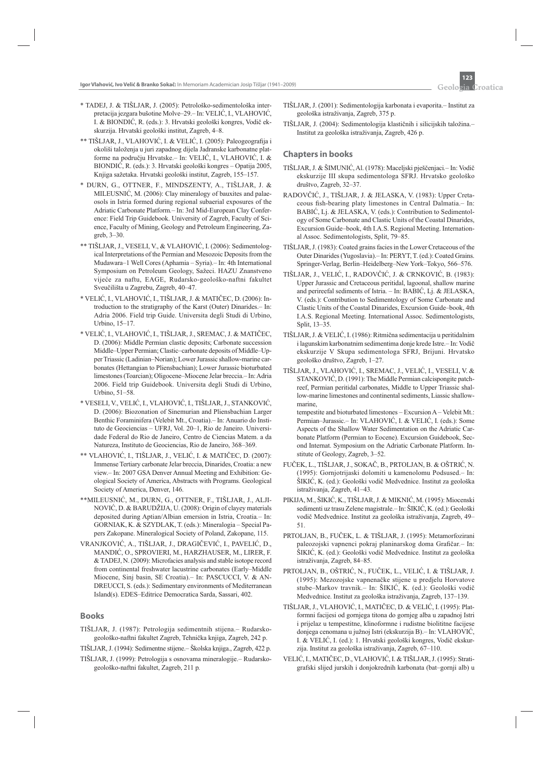- \* TADEJ, J. & TIŠLJAR, J. (2005): Petrološko-sedimentološka interpretacija jezgara bušotine Molve–29.– In: VELIĆ, I., VLAHOVIĆ, I. & BIONDIĆ, R. (eds.): 3. Hrvatski geološki kongres, Vodič ekskurzija. Hrvatski geološki institut, Zagreb, 4–8.
- \*\* TIŠLJAR, J., VLAHOVIĆ, I. & VELIĆ, I. (2005): Paleogeografija i okoliši taloženja u juri zapadnog dijela Jadranske karbonatne platforme na području Hrvatske.– In: VELIĆ, I., VLAHOVIĆ, I. & BIONDIĆ, R. (eds.): 3. Hrvatski geološki kongres – Opatija 2005, Knjiga sažetaka. Hrvatski geološki institut, Zagreb, 155–157.
- \* DURN, G., OTTNER, F., MINDSZENTY, A., TIŠLJAR, J. & MILEUSNIĆ, M. (2006): Clay mineralogy of bauxites and palaeosols in Istria formed during regional subaerial exposures of the Adriatic Carbonate Platform*.–* In: 3rd Mid-European Clay Conference: Field Trip Guidebook. University of Zagreb, Faculty of Science, Faculty of Mining, Geology and Petroleum Engineering, Zagreb, 3–30.
- \*\* TIŠLJAR, J., VESELI, V., & VLAHOVIĆ, I. (2006): Sedimentological Interpretations of the Permian and Mesozoic Deposits from the Mudawara–1 Well Cores (Aphamia – Syria).*–* In: 4th International Symposium on Petroleum Geology, Sažeci. HAZU Znanstveno vijeće za naftu, EAGE, Rudarsko-geološko-naftni fakultet Sveučilišta u Zagrebu, Zagreb, 40–47.
- \* VELIĆ, I., VLAHOVIĆ, I., TIŠLJAR, J. & MATIČEC, D. (2006): Introduction to the stratigraphy of the Karst (Outer) Dinarides.– In: Adria 2006. Field trip Guide. Universita degli Studi di Urbino, Urbino, 15–17.
- \* VELIĆ, I., VLAHOVIĆ, I., TIŠLJAR, J., SREMAC, J. & MATIČEC, D. (2006): Middle Permian clastic deposits; Carbonate succession Middle–Upper Permian; Clastic–carbonate deposits of Middle–Upper Triassic (Ladinian–Norian); Lower Jurassic shallow-marine carbonates (Hettangian to Pliensbachian); Lower Jurassic bioturbated limestones (Toarcian); Oligocene–Miocene Jelar breccia.– In: Adria 2006. Field trip Guidebook. Universita degli Studi di Urbino, Urbino, 51–58.
- \* VESELI, V., VELIĆ, I., VLAHOVIĆ, I., TIŠLJAR, J., STANKOVIĆ, D. (2006): Biozonation of Sinemurian and Pliensbachian Larger Benthic Foraminifera (Velebit Mt., Croatia).– In: Anuario do Instituto de Geociencias – UFRJ, Vol. 20–1, Rio de Janeiro. Universidade Federal do Rio de Janeiro, Centro de Ciencias Matem. a da Natureza, Instituto de Geociencias, Rio de Janeiro, 368–369.
- \*\* VLAHOVIĆ, I., TIŠLJAR, J., VELIĆ, I. & MATIČEC, D. (2007): Immense Tertiary carbonate Jelar breccia, Dinarides, Croatia: a new view.– In: 2007 GSA Denver Annual Meeting and Exhibition: Geological Society of America, Abstracts with Programs. Geological Society of America, Denver, 146.
- \*\*MILEUSNIĆ, M., DURN, G., OTTNER, F., TIŠLJAR, J., ALJI-NOVIĆ, D. & BARUDŽIJA, U. (2008): Origin of clayey materials deposited during Aptian/Albian emersion in Istria, Croatia*.*– In: GORNIAK, K. & SZYDLAK, T. (eds.): Mineralogia – Special Papers Zakopane. Mineralogical Society of Poland, Zakopane, 115.
- VRANJKOVIĆ, A., TIŠLJAR, J., DRAGIČEVIĆ, I., PAVELIĆ, D., MANDIĆ, O., SPROVIERI, M., HARZHAUSER, M., LIRER, F. & TADEJ, N. (2009): Microfacies analysis and stable isotope record from continental freshwater lacustrine carbonates (Early–Middle Miocene, Sinj basin, SE Croatia).– In: PASCUCCI, V. & AN-DREUCCI, S. (eds.): Sedimentary environments of Mediterranean Island(s). EDES–Editrice Democratica Sarda, Sassari, 402.

#### **Books**

- TIŠLJAR, J. (1987): Petrologija sedimentnih stijena.– Rudarskogeološko-naftni fakultet Zagreb, Tehnička knjiga, Zagreb, 242 p.
- TIŠLJAR, J. (1994): Sedimentne stijene.– Školska knjiga., Zagreb, 422 p.
- TIŠLJAR, J. (1999): Petrologija s osnovama mineralogije.– Rudarskogeološko-naftni fakultet, Zagreb, 211 p*.*
- TIŠLJAR, J. (2001): Sedimentologija karbonata i evaporita.– Institut za geološka istraživanja, Zagreb, 375 p.
- TIŠLJAR, J. (2004): Sedimentologija klastičnih i silicijskih taložina.– Institut za geološka istraživanja, Zagreb, 426 p.

#### **Chapters in books**

- TIŠLJAR, J. & ŠIMUNIĆ, Al. (1978): Maceljski pješčenjaci*.–* In: Vodič ekskurzije III skupa sedimentologa SFRJ. Hrvatsko geološko društvo, Zagreb, 32–37.
- RADOVČIĆ, J., TIŠLJAR, J. & JELASKA, V. (1983): Upper Cretaceous fish-bearing platy limestones in Central Dalmatia.- In: BABIĆ, Lj. & JELASKA, V. (eds.): Contribution to Sedimentology of Some Carbonate and Clastic Units of the Coastal Dinarides, Excursion Guide–book, 4th I.A.S. Regional Meeting. International Assoc. Sedimentologists, Split, 79–85.
- TIŠLJAR, J. (1983): Coated grains facies in the Lower Cretaceous of the Outer Dinarides (Yugoslavia).– In: PERYT, T. (ed.): Coated Grains. Springer-Verlag, Berlin–Heidelberg–New York–Tokyo, 566–576.
- TIŠLJAR, J., VELIĆ, I., RADOVČIĆ, J. & CRNKOVIĆ, B. (1983): Upper Jurassic and Cretaceous peritidal, lagoonal, shallow marine and perireefal sediments of Istria. – In: BABIĆ, Lj. & JELASKA, V. (eds.): Contribution to Sedimentology of Some Carbonate and Clastic Units of the Coastal Dinarides, Excursion Guide–book, 4th I.A.S. Regional Meeting. International Assoc. Sedimentologists, Split, 13–35.
- TIŠLJAR, J. & VELIĆ, I. (1986): Ritmična sedimentacija u peritidalnim i lagunskim karbonatnim sedimentima donje krede Istre.– In: Vodič ekskurzije V Skupa sedimentologa SFRJ, Brijuni. Hrvatsko geološko društvo, Zagreb, 1–27.
- TIŠLJAR, J., VLAHOVIĆ, I., SREMAC, J., VELIĆ, I., VESELI, V. & STANKOVIĆ, D. (1991): The Middle Permian calcispongite patchreef, Permian peritidal carbonates, Middle to Upper Triassic shallow-marine limestones and continental sediments, Liassic shallowmarine,

tempestite and bioturbated limestones – Excursion A – Velebit Mt.: Permian–Jurassic.– In: VLAHOVIĆ, I. & VELIĆ, I. (eds.): Some Aspects of the Shallow Water Sedimentation on the Adriatic Carbonate Platform (Permian to Eocene). Excursion Guidebook, Second Internat. Symposium on the Adriatic Carbonate Platform. Institute of Geology, Zagreb, 3–52.

- FUČEK, L., TIŠLJAR, J., SOKAČ, B., PRTOLJAN, B. & OŠTRIĆ, N. (1995): Gornjotrijaski dolomiti u kamenolomu Podsused.– In: ŠIKIĆ, K. (ed.): Geološki vodič Medvednice. Institut za geološka istraživanja, Zagreb, 41–43.
- PIKIJA, M., ŠIKIĆ, K., TIŠLJAR, J. & MIKNIĆ, M. (1995): Miocenski sedimenti uz trasu Zelene magistrale.– In: ŠIKIĆ, K. (ed.): Geološki vodič Medvednice. Institut za geološka istraživanja, Zagreb, 49– 51.
- PRTOLJAN, B., FUČEK, L. & TIŠLJAR, J. (1995): Metamorfozirani paleozojski vapnenci pokraj planinarskog doma Grafičar.- In: ŠIKIĆ, K. (ed.): Geološki vodič Medvednice. Institut za geološka istraživanja, Zagreb, 84–85.
- PRTOLJAN, B., OŠTRIĆ, N., FUČEK, L., VELIĆ, I. & TIŠLJAR, J. (1995): Mezozojske vapnenačke stijene u predjelu Horvatove stube–Markov travnik.– In: ŠIKIĆ, K. (ed.): Geološki vodič Medvednice. Institut za geološka istraživanja, Zagreb, 137–139.
- TIŠLJAR, J., VLAHOVIĆ, I., MATIČEC, D. & VELIĆ, I. (1995): Platformni facijesi od gornjega titona do gornjeg alba u zapadnoj Istri i prijelaz u tempestitne, klinoformne i rudistne biolititne facijese donjega cenomana u južnoj Istri (ekskurzija B).– In: VLAHOVIĆ, I. & VELIĆ, I. (ed.): 1. Hrvatski geološki kongres, Vodič ekskurzija. Institut za geološka istraživanja, Zagreb, 67–110.
- VELIĆ, I., MATIČEC, D., VLAHOVIĆ, I. & TIŠLJAR, J. (1995): Stratigrafski slijed jurskih i donjokrednih karbonata (bat–gornji alb) u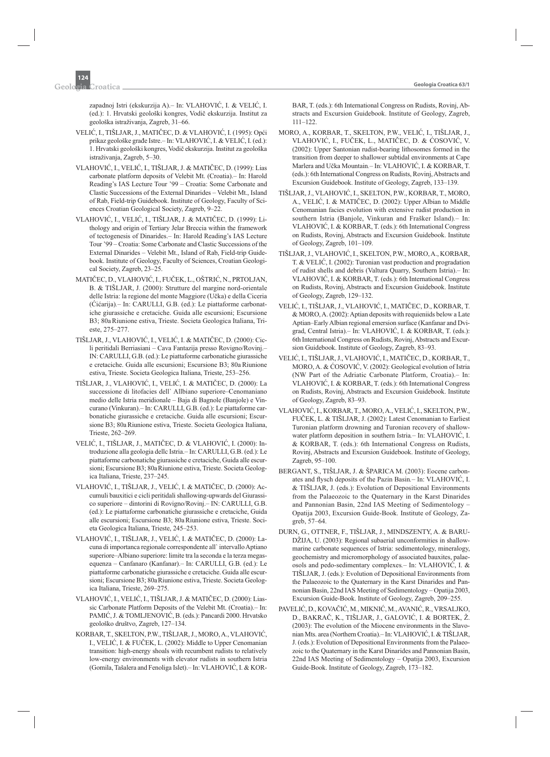zapadnoj Istri (ekskurzija A).– In: VLAHOVIĆ, I. & VELIĆ, I. (ed.): 1. Hrvatski geološki kongres, Vodič ekskurzija. Institut za geološka istraživanja, Zagreb, 31–66.

- VELIĆ, I., TIŠLJAR, J., MATIČEC, D. & VLAHOVIĆ, I. (1995): Opći prikaz geološke građe Istre.– In: VLAHOVIĆ, I. & VELIĆ, I. (ed.): 1. Hrvatski geološki kongres, Vodič ekskurzija. Institut za geološka istraživanja, Zagreb, 5–30.
- VLAHOVIĆ, I., VELIĆ, I., TIŠLJAR, J. & MATIČEC, D. (1999): Lias carbonate platform deposits of Velebit Mt. (Croatia).– In: Harold Reading's IAS Lecture Tour '99 – Croatia: Some Carbonate and Clastic Successions of the External Dinarides – Velebit Mt., Island of Rab, Field-trip Guidebook. Institute of Geology, Faculty of Sciences Croatian Geological Society, Zagreb, 9–22.
- VLAHOVIĆ, I., VELIĆ, I., TIŠLJAR, J. & MATIČEC, D. (1999): Lithology and origin of Tertiary Jelar Breccia within the framework of tectogenesis of Dinarides.– In: Harold Reading's IAS Lecture Tour '99 – Croatia: Some Carbonate and Clastic Successions of the External Dinarides – Velebit Mt., Island of Rab, Field-trip Guidebook. Institute of Geology, Faculty of Sciences, Croatian Geological Society, Zagreb, 23–25.
- MATIČEC, D., VLAHOVIĆ, I., FUČEK, L., OŠTRIĆ, N., PRTOLJAN, B. & TIŠLJAR, J. (2000): Strutture del margine nord-orientale delle Istria: la regione del monte Maggiore (Učka) e della Ciceria (Ćićarija)*.–* In: CARULLI, G.B. (ed.): Le piattaforme carbonatiche giurassiche e cretaciche. Guida alle escursioni; Escursione B3; 80aRiunione estiva, Trieste. Societa Geologica Italiana, Trieste, 275–277.
- TIŠLJAR, J., VLAHOVIĆ, I., VELIĆ, I. & MATIČEC, D. (2000): Cicli peritidali Berriasiani – Cava Fantazija presso Rovigno/Rovinj.*–*  IN: CARULLI, G.B. (ed.): Le piattaforme carbonatiche giurassiche e cretaciche. Guida alle escursioni; Escursione B3; 80a Riunione estiva, Trieste. Societa Geologica Italiana, Trieste, 253–256.
- TIŠLJAR, J., VLAHOVIĆ, I., VELIĆ, I. & MATIČEC, D. (2000): La successione di litofacies dell` Allbiano superiore–Cenomaniano medio delle Istria meridionale – Baja di Bagnole (Banjole) e Vincurano (Vinkuran).– In: CARULLI, G.B. (ed.): Le piattaforme carbonatiche giurassiche e cretaciche. Guida alle escursioni; Escursione B3; 80aRiunione estiva, Trieste. Societa Geologica Italiana, Trieste, 262–269.
- VELIĆ, I., TIŠLJAR, J., MATIČEC, D. & VLAHOVIĆ, I. (2000): Introduzione alla geologia dellc Istria.– In: CARULLI, G.B. (ed.): Le piattaforme carbonatiche giurassiche e cretaciche, Guida alle escursioni; Escursione B3; 80aRiunione estiva, Trieste. Societa Geologica Italiana, Trieste, 237–245.
- VLAHOVIĆ, I., TIŠLJAR, J., VELIĆ, I. & MATIČEC, D. (2000): Accumuli bauxitici e cicli peritidali shallowing-upwards del Giurassico superiore – dintorini di Rovigno/Rovinj.*–* IN: CARULLI, G.B. (ed.): Le piattaforme carbonatiche giurassiche e cretaciche, Guida alle escursioni; Escursione B3; 80aRiunione estiva, Trieste. Societa Geologica Italiana, Trieste, 245–253.
- VLAHOVIĆ, I., TIŠLJAR, J., VELIĆ, I. & MATIČEC, D. (2000): Lacuna di importanca regionale correspondente all` intervallo Aptiano superiore–Albiano superiore: limite tra la seconda e la terza megasequenza – Canfanaro (Kanfanar).– In: CARULLI, G.B. (ed.): Le piattaforme carbonatiche giurassiche e cretaciche. Guida alle escursioni; Escursione B3; 80aRiunione estiva, Trieste. Societa Geologica Italiana, Trieste, 269–275.
- VLAHOVIĆ, I., VELIĆ, I., TIŠLJAR, J. & MATIČEC, D. (2000): Liassic Carbonate Platform Deposits of the Velebit Mt. (Croatia).– In: PAMIĆ, J. & TOMLJENOVIĆ, B. (eds.): Pancardi 2000. Hrvatsko geološko društvo, Zagreb, 127–134.
- KORBAR, T., SKELTON, P.W., TIŠLJAR, J., MORO, A., VLAHOVIĆ, I., VELIĆ, I. & FUČEK, L. (2002): Middle to Upper Cenomanian transition: high-energy shoals with recumbent rudists to relatively low-energy environments with elevator rudists in southern Istria (Gomila, Tašalera and Fenoliga Islet).– In: VLAHOVIĆ, I. & KOR-

BAR, T. (eds.): 6th International Congress on Rudists, Rovinj, Abstracts and Excursion Guidebook. Institute of Geology, Zagreb, 111–122.

- MORO, A., KORBAR, T., SKELTON, P.W., VELIĆ, I., TIŠLJAR, J., VLAHOVIĆ, I., FUČEK, L., MATIČEC, D. & ĆOSOVIĆ, V. (2002): Upper Santonian rudist-bearing lithosomes formed in the transition from deeper to shallower subtidal environments at Cape Marlera and Učka Mountain*.–* In: VLAHOVIĆ, I. & KORBAR, T. (eds.): 6th International Congress on Rudists, Rovinj, Abstracts and Excursion Guidebook. Institute of Geology, Zagreb, 133–139.
- TIŠLJAR, J., VLAHOVIĆ, I., SKELTON, P.W., KORBAR, T., MORO, A., VELIĆ, I. & MATIČEC, D. (2002): Upper Albian to Middle Cenomanian facies evolution with extensive rudist production in southern Istria (Banjole, Vinkuran and Frašker Island)*.–* In: VLAHOVIĆ, I. & KORBAR, T. (eds.): 6th International Congress on Rudists, Rovinj, Abstracts and Excursion Guidebook. Institute of Geology, Zagreb, 101–109.
- TIŠLJAR, J., VLAHOVIĆ, I., SKELTON, P.W., MORO, A., KORBAR, T. & VELIĆ, I. (2002): Turonian vast production and progradation of rudist shells and debris (Valtura Quarry, Southern Istria).– In: VLAHOVIĆ, I. & KORBAR, T. (eds.): 6th International Congress on Rudists, Rovinj, Abstracts and Excursion Guidebook. Institute of Geology, Zagreb, 129–132.
- VELIĆ, I., TIŠLJAR, J., VLAHOVIĆ, I., MATIČEC, D., KORBAR, T. & MORO, A. (2002): Aptian deposits with requieniids below a Late Aptian–Early Albian regional emersion surface (Kanfanar and Dvigrad, Central Istria).– In: VLAHOVIĆ, I. & KORBAR, T. (eds.): 6th International Congress on Rudists, Rovinj, Abstracts and Excursion Guidebook. Institute of Geology, Zagreb, 83–93.
- VELIĆ, I., TIŠLJAR, J., VLAHOVIĆ, I., MATIČEC, D., KORBAR, T., MORO, A. & ĆOSOVIĆ, V. (2002): Geological evolution of Istria (NW Part of the Adriatic Carbonate Platform, Croatia).– In: VLAHOVIĆ, I. & KORBAR, T. (eds.): 6th International Congress on Rudists, Rovinj, Abstracts and Excursion Guidebook. Institute of Geology, Zagreb, 83–93.
- VLAHOVIĆ, I., KORBAR, T., MORO, A., VELIĆ, I., SKELTON, P.W., FUČEK, L. & TIŠLJAR, J. (2002): Latest Cenomanian to Earliest Turonian platform drowning and Turonian recovery of shallowwater platform deposition in southern Istria*.–* In: VLAHOVIĆ, I. & KORBAR, T. (eds.): 6th International Congress on Rudists, Rovinj, Abstracts and Excursion Guidebook. Institute of Geology, Zagreb, 95–100.
- BERGANT, S., TIŠLJAR, J. & ŠPARICA M. (2003): Eocene carbonates and flysch deposits of the Pazin Basin.– In: VLAHOVIĆ, I. & TIŠLJAR, J. (eds.): Evolution of Depositional Environments from the Palaeozoic to the Quaternary in the Karst Dinarides and Pannonian Basin, 22nd IAS Meeting of Sedimentology – Opatija 2003, Excursion Guide-Book. Institute of Geology, Zagreb, 57–64.
- DURN, G., OTTNER, F., TIŠLJAR, J., MINDSZENTY, A. & BARU-DŽIJA, U. (2003): Regional subaerial unconformities in shallowmarine carbonate sequences of Istria: sedimentology, mineralogy, geochemistry and micromorphology of associated bauxites, palaeosols and pedo-sedimentary complexes*.–* In: VLAHOVIĆ, I. & TIŠLJAR, J. (eds.): Evolution of Depositional Environments from the Palaeozoic to the Quaternary in the Karst Dinarides and Pannonian Basin, 22nd IAS Meeting of Sedimentology – Opatija 2003, Excursion Guide-Book. Institute of Geology, Zagreb, 209–255.
- PAVELIĆ, D., KOVAČIĆ, M., MIKNIĆ, M., AVANIĆ, R., VRSALJKO, D., BAKRAČ, K., TIŠLJAR, J., GALOVIĆ, I. & BORTEK, Ž. (2003): The evolution of the Miocene environments in the Slavonian Mts. area (Northern Croatia).– In: VLAHOVIĆ, I. & TIŠLJAR, J. (eds.): Evolution of Depositional Environments from the Palaeozoic to the Quaternary in the Karst Dinarides and Pannonian Basin, 22nd IAS Meeting of Sedimentology – Opatija 2003, Excursion Guide-Book. Institute of Geology, Zagreb, 173–182.